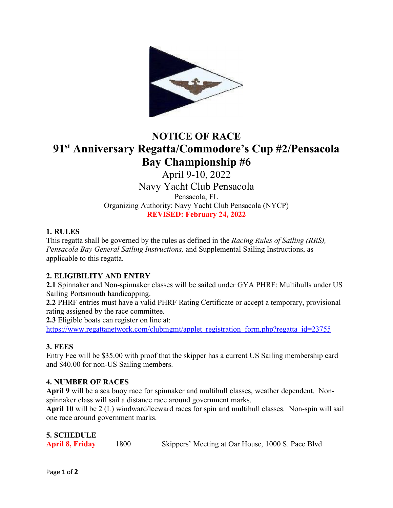

# **NOTICE OF RACE 91st Anniversary Regatta/Commodore's Cup #2/Pensacola Bay Championship #6**

April 9-10, 2022

Navy Yacht Club Pensacola Pensacola, FL Organizing Authority: Navy Yacht Club Pensacola (NYCP) **REVISED: February 24, 2022**

## **1. RULES**

This regatta shall be governed by the rules as defined in the *Racing Rules of Sailing (RRS), Pensacola Bay General Sailing Instructions,* and Supplemental Sailing Instructions, as applicable to this regatta.

# **2. ELIGIBILITY AND ENTRY**

**2.1** Spinnaker and Non-spinnaker classes will be sailed under GYA PHRF: Multihulls under US Sailing Portsmouth handicapping.

**2.2** PHRF entries must have a valid PHRF Rating Certificate or accept a temporary, provisional rating assigned by the race committee.

**2.3** Eligible boats can register on line at:

https://www.regattanetwork.com/clubmgmt/applet\_registration\_form.php?regatta\_id=23755

## **3. FEES**

Entry Fee will be \$35.00 with proof that the skipper has a current US Sailing membership card and \$40.00 for non-US Sailing members.

## **4. NUMBER OF RACES**

**April 9** will be a sea buoy race for spinnaker and multihull classes, weather dependent. Nonspinnaker class will sail a distance race around government marks.

**April 10** will be 2 (L) windward/leeward races for spin and multihull classes. Non-spin will sail one race around government marks.

| <b>5. SCHEDULE</b>     |      |                                                   |  |
|------------------------|------|---------------------------------------------------|--|
| <b>April 8, Friday</b> | 1800 | Skippers' Meeting at Oar House, 1000 S. Pace Blvd |  |